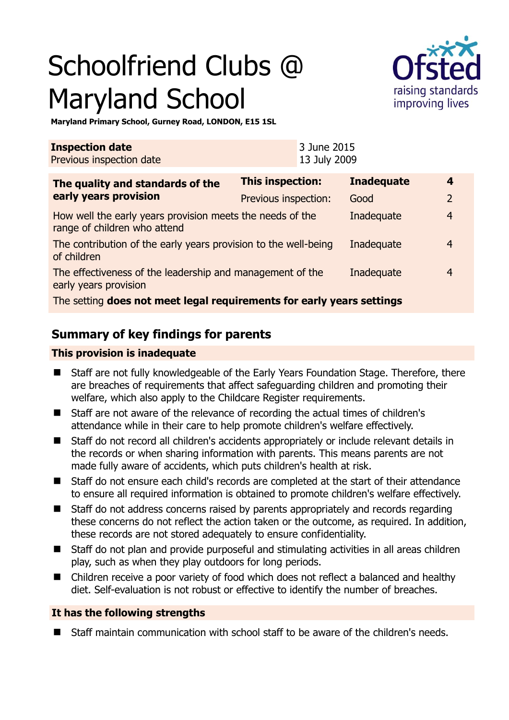# Schoolfriend Clubs @ Maryland School



**Maryland Primary School, Gurney Road, LONDON, E15 1SL** 

| <b>Inspection date</b><br>Previous inspection date                                        |                         | 3 June 2015<br>13 July 2009 |                   |                |  |
|-------------------------------------------------------------------------------------------|-------------------------|-----------------------------|-------------------|----------------|--|
| The quality and standards of the                                                          | <b>This inspection:</b> |                             | <b>Inadequate</b> | 4              |  |
| early years provision                                                                     | Previous inspection:    |                             | Good              | $\overline{2}$ |  |
| How well the early years provision meets the needs of the<br>range of children who attend |                         |                             | Inadequate        | $\overline{4}$ |  |
| The contribution of the early years provision to the well-being<br>of children            |                         |                             | Inadequate        | 4              |  |
| The effectiveness of the leadership and management of the<br>early years provision        |                         |                             | Inadequate        | 4              |  |
| The setting does not meet legal requirements for early years settings                     |                         |                             |                   |                |  |

# **Summary of key findings for parents**

#### **This provision is inadequate**

- Staff are not fully knowledgeable of the Early Years Foundation Stage. Therefore, there are breaches of requirements that affect safeguarding children and promoting their welfare, which also apply to the Childcare Register requirements.
- Staff are not aware of the relevance of recording the actual times of children's attendance while in their care to help promote children's welfare effectively.
- Staff do not record all children's accidents appropriately or include relevant details in the records or when sharing information with parents. This means parents are not made fully aware of accidents, which puts children's health at risk.
- Staff do not ensure each child's records are completed at the start of their attendance to ensure all required information is obtained to promote children's welfare effectively.
- Staff do not address concerns raised by parents appropriately and records regarding these concerns do not reflect the action taken or the outcome, as required. In addition, these records are not stored adequately to ensure confidentiality.
- Staff do not plan and provide purposeful and stimulating activities in all areas children play, such as when they play outdoors for long periods.
- Children receive a poor variety of food which does not reflect a balanced and healthy diet. Self-evaluation is not robust or effective to identify the number of breaches.

#### **It has the following strengths**

Staff maintain communication with school staff to be aware of the children's needs.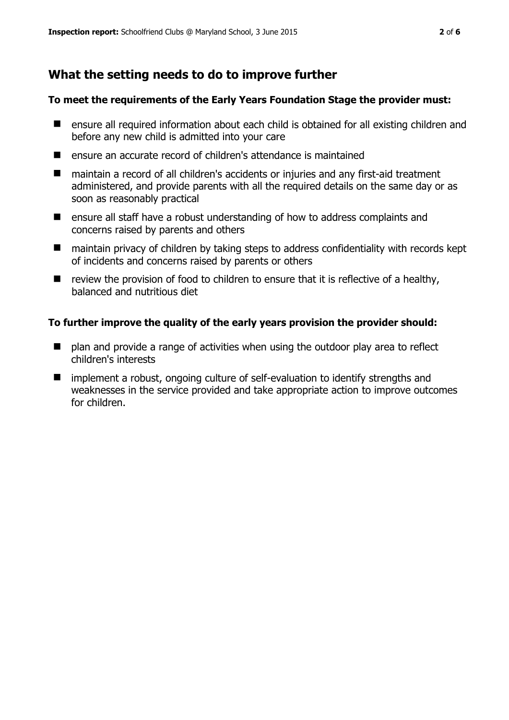# **What the setting needs to do to improve further**

#### **To meet the requirements of the Early Years Foundation Stage the provider must:**

- ensure all required information about each child is obtained for all existing children and before any new child is admitted into your care
- ensure an accurate record of children's attendance is maintained
- maintain a record of all children's accidents or injuries and any first-aid treatment administered, and provide parents with all the required details on the same day or as soon as reasonably practical
- ensure all staff have a robust understanding of how to address complaints and concerns raised by parents and others
- maintain privacy of children by taking steps to address confidentiality with records kept of incidents and concerns raised by parents or others
- $\blacksquare$  review the provision of food to children to ensure that it is reflective of a healthy, balanced and nutritious diet

#### **To further improve the quality of the early years provision the provider should:**

- plan and provide a range of activities when using the outdoor play area to reflect children's interests
- **I** implement a robust, ongoing culture of self-evaluation to identify strengths and weaknesses in the service provided and take appropriate action to improve outcomes for children.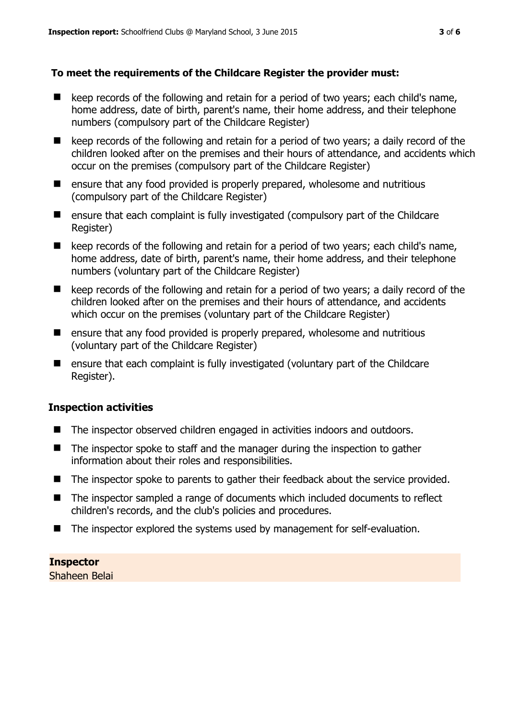#### **To meet the requirements of the Childcare Register the provider must:**

- $\blacksquare$  keep records of the following and retain for a period of two years; each child's name, home address, date of birth, parent's name, their home address, and their telephone numbers (compulsory part of the Childcare Register)
- $\blacksquare$  keep records of the following and retain for a period of two years; a daily record of the children looked after on the premises and their hours of attendance, and accidents which occur on the premises (compulsory part of the Childcare Register)
- $\blacksquare$  ensure that any food provided is properly prepared, wholesome and nutritious (compulsory part of the Childcare Register)
- **E** ensure that each complaint is fully investigated (compulsory part of the Childcare Register)
- keep records of the following and retain for a period of two years; each child's name, home address, date of birth, parent's name, their home address, and their telephone numbers (voluntary part of the Childcare Register)
- $\blacksquare$  keep records of the following and retain for a period of two years; a daily record of the children looked after on the premises and their hours of attendance, and accidents which occur on the premises (voluntary part of the Childcare Register)
- **E** ensure that any food provided is properly prepared, wholesome and nutritious (voluntary part of the Childcare Register)
- ensure that each complaint is fully investigated (voluntary part of the Childcare Register).

#### **Inspection activities**

- The inspector observed children engaged in activities indoors and outdoors.
- The inspector spoke to staff and the manager during the inspection to gather information about their roles and responsibilities.
- The inspector spoke to parents to gather their feedback about the service provided.
- The inspector sampled a range of documents which included documents to reflect children's records, and the club's policies and procedures.
- The inspector explored the systems used by management for self-evaluation.

**Inspector**  Shaheen Belai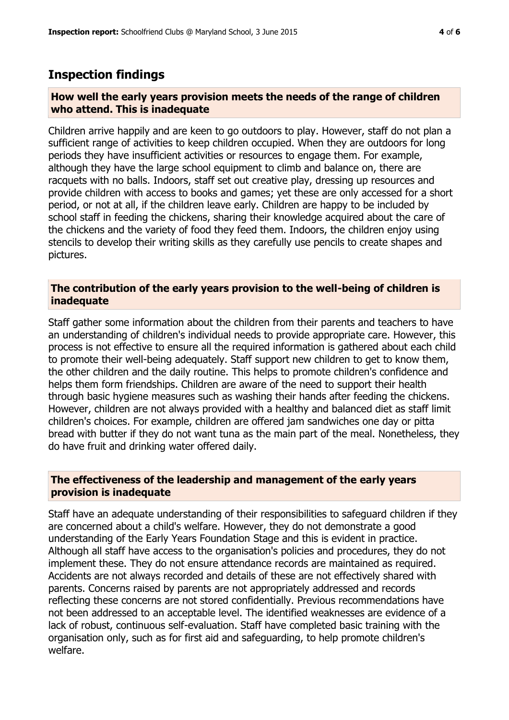### **Inspection findings**

#### **How well the early years provision meets the needs of the range of children who attend. This is inadequate**

Children arrive happily and are keen to go outdoors to play. However, staff do not plan a sufficient range of activities to keep children occupied. When they are outdoors for long periods they have insufficient activities or resources to engage them. For example, although they have the large school equipment to climb and balance on, there are racquets with no balls. Indoors, staff set out creative play, dressing up resources and provide children with access to books and games; yet these are only accessed for a short period, or not at all, if the children leave early. Children are happy to be included by school staff in feeding the chickens, sharing their knowledge acquired about the care of the chickens and the variety of food they feed them. Indoors, the children enjoy using stencils to develop their writing skills as they carefully use pencils to create shapes and pictures.

#### **The contribution of the early years provision to the well-being of children is inadequate**

Staff gather some information about the children from their parents and teachers to have an understanding of children's individual needs to provide appropriate care. However, this process is not effective to ensure all the required information is gathered about each child to promote their well-being adequately. Staff support new children to get to know them, the other children and the daily routine. This helps to promote children's confidence and helps them form friendships. Children are aware of the need to support their health through basic hygiene measures such as washing their hands after feeding the chickens. However, children are not always provided with a healthy and balanced diet as staff limit children's choices. For example, children are offered jam sandwiches one day or pitta bread with butter if they do not want tuna as the main part of the meal. Nonetheless, they do have fruit and drinking water offered daily.

#### **The effectiveness of the leadership and management of the early years provision is inadequate**

Staff have an adequate understanding of their responsibilities to safeguard children if they are concerned about a child's welfare. However, they do not demonstrate a good understanding of the Early Years Foundation Stage and this is evident in practice. Although all staff have access to the organisation's policies and procedures, they do not implement these. They do not ensure attendance records are maintained as required. Accidents are not always recorded and details of these are not effectively shared with parents. Concerns raised by parents are not appropriately addressed and records reflecting these concerns are not stored confidentially. Previous recommendations have not been addressed to an acceptable level. The identified weaknesses are evidence of a lack of robust, continuous self-evaluation. Staff have completed basic training with the organisation only, such as for first aid and safeguarding, to help promote children's welfare.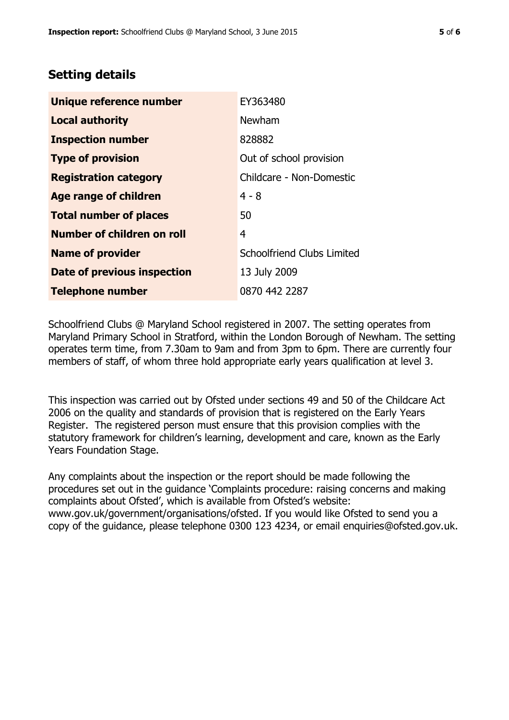# **Setting details**

| Unique reference number       | EY363480                   |  |
|-------------------------------|----------------------------|--|
| <b>Local authority</b>        | Newham                     |  |
| <b>Inspection number</b>      | 828882                     |  |
| <b>Type of provision</b>      | Out of school provision    |  |
| <b>Registration category</b>  | Childcare - Non-Domestic   |  |
| Age range of children         | $4 - 8$                    |  |
| <b>Total number of places</b> | 50                         |  |
| Number of children on roll    | 4                          |  |
| <b>Name of provider</b>       | Schoolfriend Clubs Limited |  |
| Date of previous inspection   | 13 July 2009               |  |
| <b>Telephone number</b>       | 0870 442 2287              |  |

Schoolfriend Clubs @ Maryland School registered in 2007. The setting operates from Maryland Primary School in Stratford, within the London Borough of Newham. The setting operates term time, from 7.30am to 9am and from 3pm to 6pm. There are currently four members of staff, of whom three hold appropriate early years qualification at level 3.

This inspection was carried out by Ofsted under sections 49 and 50 of the Childcare Act 2006 on the quality and standards of provision that is registered on the Early Years Register. The registered person must ensure that this provision complies with the statutory framework for children's learning, development and care, known as the Early Years Foundation Stage.

Any complaints about the inspection or the report should be made following the procedures set out in the guidance 'Complaints procedure: raising concerns and making complaints about Ofsted', which is available from Ofsted's website: www.gov.uk/government/organisations/ofsted. If you would like Ofsted to send you a copy of the guidance, please telephone 0300 123 4234, or email enquiries@ofsted.gov.uk.